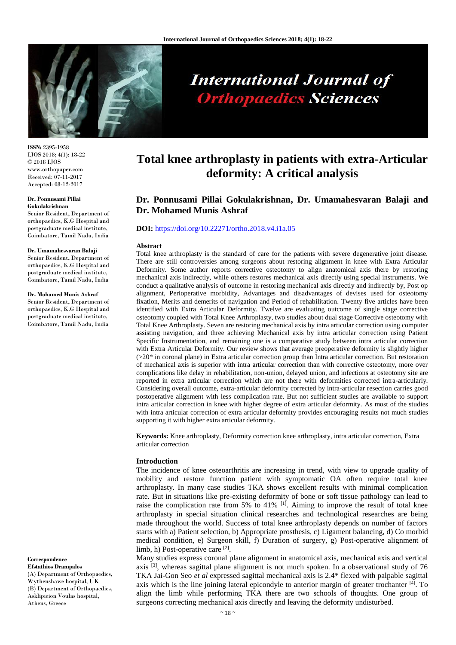

**International Journal of Orthopaedics Sciences** 

**ISSN:** 2395-1958 IJOS 2018; 4(1): 18-22 © 2018 IJOS www.orthopaper.com Received: 07-11-2017 Accepted: 08-12-2017

#### **Dr. Ponnusami Pillai Gokulakrishnan**

Senior Resident, Department of orthopaedics, K.G Hospital and postgraduate medical institute, Coimbatore, Tamil Nadu, India

#### **Dr. Umamahesvaran Balaji**

Senior Resident, Department of orthopaedics, K.G Hospital and postgraduate medical institute, Coimbatore, Tamil Nadu, India

#### **Dr. Mohamed Munis Ashraf**

Senior Resident, Department of orthopaedics, K.G Hospital and postgraduate medical institute, Coimbatore, Tamil Nadu, India

**Correspondence Efstathios Drampalos** (A) Department of Orthopaedics, Wythenshawe hospital, UK (B) Department of Orthopaedics, Asklipieion Voulas hospital, Athens, Greece

# **Total knee arthroplasty in patients with extra-Articular deformity: A critical analysis**

## **Dr. Ponnusami Pillai Gokulakrishnan, Dr. Umamahesvaran Balaji and Dr. Mohamed Munis Ashraf**

## **DOI:** <https://doi.org/10.22271/ortho.2018.v4.i1a.05>

#### **Abstract**

Total knee arthroplasty is the standard of care for the patients with severe degenerative joint disease. There are still controversies among surgeons about restoring alignment in knee with Extra Articular Deformity. Some author reports corrective osteotomy to align anatomical axis there by restoring mechanical axis indirectly, while others restores mechanical axis directly using special instruments. We conduct a qualitative analysis of outcome in restoring mechanical axis directly and indirectly by, Post op alignment, Perioperative morbidity, Advantages and disadvantages of devises used for osteotomy fixation, Merits and demerits of navigation and Period of rehabilitation. Twenty five articles have been identified with Extra Articular Deformity. Twelve are evaluating outcome of single stage corrective osteotomy coupled with Total Knee Arthroplasty, two studies about dual stage Corrective osteotomy with Total Knee Arthroplasty. Seven are restoring mechanical axis by intra articular correction using computer assisting navigation, and three achieving Mechanical axis by intra articular correction using Patient Specific Instrumentation, and remaining one is a comparative study between intra articular correction with Extra Articular Deformity. Our review shows that average preoperative deformity is slightly higher (>20\* in coronal plane) in Extra articular correction group than Intra articular correction. But restoration of mechanical axis is superior with intra articular correction than with corrective osteotomy, more over complications like delay in rehabilitation, non-union, delayed union, and infections at osteotomy site are reported in extra articular correction which are not there with deformities corrected intra-articularly. Considering overall outcome, extra-articular deformity corrected by intra-articular resection carries good postoperative alignment with less complication rate. But not sufficient studies are available to support intra articular correction in knee with higher degree of extra articular deformity. As most of the studies with intra articular correction of extra articular deformity provides encouraging results not much studies supporting it with higher extra articular deformity.

**Keywords:** Knee arthroplasty, Deformity correction knee arthroplasty, intra articular correction, Extra articular correction

#### **Introduction**

The incidence of knee osteoarthritis are increasing in trend, with view to upgrade quality of mobility and restore function patient with symptomatic OA often require total knee arthroplasty. In many case studies TKA shows excellent results with minimal complication rate. But in situations like pre-existing deformity of bone or soft tissue pathology can lead to raise the complication rate from 5% to 41% [1]. Aiming to improve the result of total knee arthroplasty in special situation clinical researches and technological researches are being made throughout the world. Success of total knee arthroplasty depends on number of factors starts with a) Patient selection, b) Appropriate prosthesis, c) Ligament balancing, d) Co morbid medical condition, e) Surgeon skill, f) Duration of surgery, g) Post-operative alignment of limb, h) Post-operative care [2].

Many studies express coronal plane alignment in anatomical axis, mechanical axis and vertical axis  $[3]$ , whereas sagittal plane alignment is not much spoken. In a observational study of 76 TKA Jai-Gon Seo *et al* expressed sagittal mechanical axis is 2.4\* flexed with palpable sagittal axis which is the line joining lateral epicondyle to anterior margin of greater trochanter [4]. To align the limb while performing TKA there are two schools of thoughts. One group of surgeons correcting mechanical axis directly and leaving the deformity undisturbed.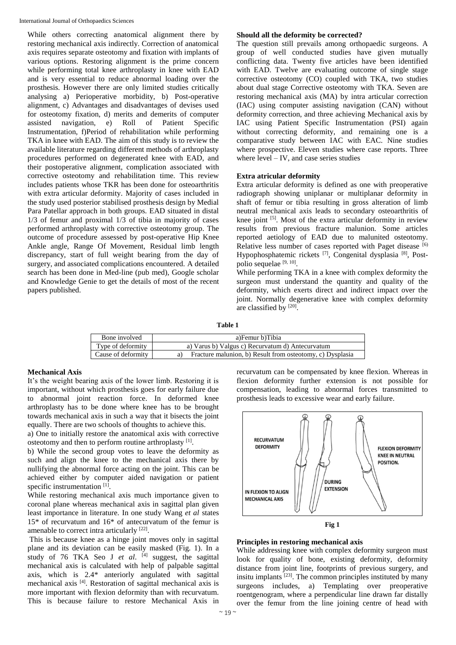While others correcting anatomical alignment there by restoring mechanical axis indirectly. Correction of anatomical axis requires separate osteotomy and fixation with implants of various options. Restoring alignment is the prime concern while performing total knee arthroplasty in knee with EAD and is very essential to reduce abnormal loading over the prosthesis. However there are only limited studies critically analysing a) Perioperative morbidity, b) Post-operative alignment, c) Advantages and disadvantages of devises used for osteotomy fixation, d) merits and demerits of computer assisted navigation, e) Roll of Patient Specific Instrumentation, f)Period of rehabilitation while performing TKA in knee with EAD. The aim of this study is to review the available literature regarding different methods of arthroplasty procedures performed on degenerated knee with EAD, and their postoperative alignment, complication associated with corrective osteotomy and rehabilitation time. This review includes patients whose TKR has been done for osteoarthritis with extra articular deformity. Majority of cases included in the study used posterior stabilised prosthesis design by Medial Para Patellar approach in both groups. EAD situated in distal 1/3 of femur and proximal 1/3 of tibia in majority of cases performed arthroplasty with corrective osteotomy group. The outcome of procedure assessed by post-operative Hip Knee Ankle angle, Range Of Movement, Residual limb length discrepancy, start of full weight bearing from the day of surgery, and associated complications encountered. A detailed search has been done in Med-line (pub med), Google scholar and Knowledge Genie to get the details of most of the recent papers published.

## **Should all the deformity be corrected?**

The question still prevails among orthopaedic surgeons. A group of well conducted studies have given mutually conflicting data. Twenty five articles have been identified with EAD. Twelve are evaluating outcome of single stage corrective osteotomy (CO) coupled with TKA, two studies about dual stage Corrective osteotomy with TKA. Seven are restoring mechanical axis (MA) by intra articular correction (IAC) using computer assisting navigation (CAN) without deformity correction, and three achieving Mechanical axis by IAC using Patient Specific Instrumentation (PSI) again without correcting deformity, and remaining one is a comparative study between IAC with EAC. Nine studies where prospective. Eleven studies where case reports. Three where level – IV, and case series studies

## **Extra atricular deformity**

Extra articular deformity is defined as one with preoperative radiograph showing uniplanar or multiplanar deformity in shaft of femur or tibia resulting in gross alteration of limb neutral mechanical axis leads to secondary osteoarthritis of knee joint  $[5]$ . Most of the extra articular deformity in review results from previous fracture malunion. Some articles reported aetiology of EAD due to malunited osteotomy. Relative less number of cases reported with Paget disease [6] Hypophosphatemic rickets <a>[7]</a>, Congenital dysplasia</a> <a>[8]</a>, Postpolio sequelae <sup>[9, 10]</sup>.

While performing TKA in a knee with complex deformity the surgeon must understand the quantity and quality of the deformity, which exerts direct and indirect impact over the joint. Normally degenerative knee with complex deformity are classified by [20].

**Table 1**

| Bone involved      | a)Femur b)Tibia                                           |  |  |
|--------------------|-----------------------------------------------------------|--|--|
| Type of deformity  | a) Varus b) Valgus c) Recurvatum d) Antecurvatum          |  |  |
| Cause of deformity | Fracture malunion, b) Result from osteotomy, c) Dysplasia |  |  |

## **Mechanical Axis**

It's the weight bearing axis of the lower limb. Restoring it is important, without which prosthesis goes for early failure due to abnormal joint reaction force. In deformed knee arthroplasty has to be done where knee has to be brought towards mechanical axis in such a way that it bisects the joint equally. There are two schools of thoughts to achieve this.

a) One to initially restore the anatomical axis with corrective osteotomy and then to perform routine arthroplasty [1].

b) While the second group votes to leave the deformity as such and align the knee to the mechanical axis there by nullifying the abnormal force acting on the joint. This can be achieved either by computer aided navigation or patient specific instrumentation<sup>[1]</sup>.

While restoring mechanical axis much importance given to coronal plane whereas mechanical axis in sagittal plan given least importance in literature. In one study Wang *et al* states 15\* of recurvatum and 16\* of antecurvatum of the femur is amenable to correct intra articularly <sup>[22]</sup>.

This is because knee as a hinge joint moves only in sagittal plane and its deviation can be easily masked (Fig. 1). In a study of 76 TKA Seo J *et al*. [4] suggest, the sagittal mechanical axis is calculated with help of palpable sagittal axis, which is 2.4\* anteriorly angulated with sagittal mechanical axis [4]. Restoration of sagittal mechanical axis is more important with flexion deformity than with recurvatum. This is because failure to restore Mechanical Axis in

recurvatum can be compensated by knee flexion. Whereas in flexion deformity further extension is not possible for compensation, leading to abnormal forces transmitted to prosthesis leads to excessive wear and early failure.



## **Principles in restoring mechanical axis**

While addressing knee with complex deformity surgeon must look for quality of bone, existing deformity, deformity distance from joint line, footprints of previous surgery, and insitu implants  $[23]$ . The common principles instituted by many surgeons includes, a) Templating over preoperative roentgenogram, where a perpendicular line drawn far distally over the femur from the line joining centre of head with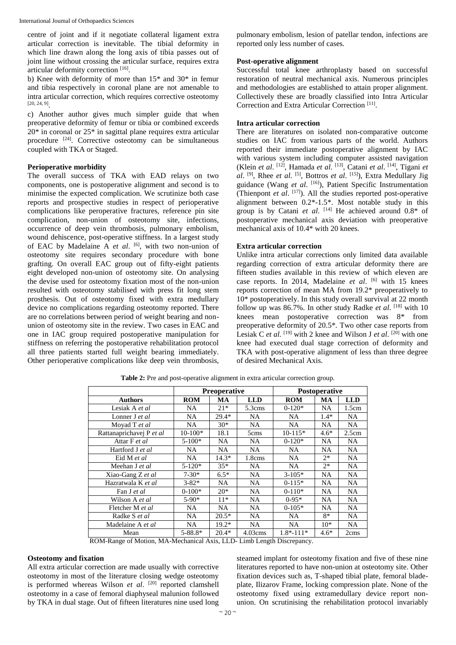centre of joint and if it negotiate collateral ligament extra articular correction is inevitable. The tibial deformity in which line drawn along the long axis of tibia passes out of joint line without crossing the articular surface, requires extra articular deformity correction [16].

b) Knee with deformity of more than 15\* and 30\* in femur and tibia respectively in coronal plane are not amenable to intra articular correction, which requires corrective osteotomy [20, 24, 9] .

c) Another author gives much simpler guide that when preoperative deformity of femur or tibia or combined exceeds 20\* in coronal or 25\* in sagittal plane requires extra articular procedure <sup>[24]</sup>. Corrective osteotomy can be simultaneous coupled with TKA or Staged.

#### **Perioperative morbidity**

The overall success of TKA with EAD relays on two components, one is postoperative alignment and second is to minimise the expected complication. We scrutinize both case reports and prospective studies in respect of perioperative complications like peroperative fractures, reference pin site complication, non-union of osteotomy site, infections, occurrence of deep vein thrombosis, pulmonary embolism, wound dehiscence, post-operative stiffness. In a largest study of EAC by Madelaine A *et al*. [6] , with two non-union of osteotomy site requires secondary procedure with bone grafting. On overall EAC group out of fifty-eight patients eight developed non-union of osteotomy site. On analysing the devise used for osteotomy fixation most of the non-union resulted with osteotomy stabilised with press fit long stem prosthesis. Out of osteotomy fixed with extra medullary device no complications regarding osteotomy reported. There are no correlations between period of weight bearing and nonunion of osteotomy site in the review. Two cases in EAC and one in IAC group required postoperative manipulation for stiffness on referring the postoperative rehabilitation protocol all three patients started full weight bearing immediately. Other perioperative complications like deep vein thrombosis,

pulmonary embolism, lesion of patellar tendon, infections are reported only less number of cases.

#### **Post-operative alignment**

Successful total knee arthroplasty based on successful restoration of neutral mechanical axis. Numerous principles and methodologies are established to attain proper alignment. Collectively these are broadly classified into Intra Articular Correction and Extra Articular Correction [11] .

## **Intra articular correction**

There are literatures on isolated non-comparative outcome studies on IAC from various parts of the world. Authors reported their immediate postoperative alignment by IAC with various system including computer assisted navigation (Klein *et al*. [12], Hamada *et al*. [13], Catani *et al*. [14], Tigani *et al*. [9], Rhee *et al*. [5], Bottros *et al*. [15]), Extra Medullary Jig guidance (Wang *et al*. [16]), Patient Specific Instrumentation (Thienpont *et al*. [17]). All the studies reported post-operative alignment between 0.2\*-1.5\*. Most notable study in this group is by Catani *et al*. [14] He achieved around 0.8\* of postoperative mechanical axis deviation with preoperative mechanical axis of 10.4\* with 20 knees.

## **Extra articular correction**

Unlike intra articular corrections only limited data available regarding correction of extra articular deformity there are fifteen studies available in this review of which eleven are case reports. In 2014, Madelaine *et al*. [6] with 15 knees reports correction of mean MA from 19.2\* preoperatively to 10\* postoperatively. In this study overall survival at 22 month follow up was 86.7%. In other study Radke *et al.* [18] with 10 knees mean postoperative correction was 8\* from preoperative deformity of 20.5\*. Two other case reports from Lesiak C *et al*. <sup>[19]</sup> with 2 knee and Wilson J *et al*. <sup>[20]</sup> with one knee had executed dual stage correction of deformity and TKA with post-operative alignment of less than three degree of desired Mechanical Axis.

|                          | <b>Preoperative</b> |           | <b>Postoperative</b> |               |           |            |
|--------------------------|---------------------|-----------|----------------------|---------------|-----------|------------|
| <b>Authors</b>           | <b>ROM</b>          | <b>MA</b> | <b>LLD</b>           | <b>ROM</b>    | MA        | <b>LLD</b> |
| Lesiak A et al           | NA.                 | $21*$     | 5.3cms               | $0-120*$      | NA        | 1.5cm      |
| Lonner J et al           | NA.                 | $29.4*$   | NA                   | NA.           | $1.4*$    | NA.        |
| Moyad T et al            | NA.                 | $30*$     | <b>NA</b>            | NA.           | <b>NA</b> | <b>NA</b>  |
| Rattanaprichavej P et al | $10-100*$           | 18.1      | 5cms                 | $10-115*$     | $4.6*$    | 2.5cm      |
| Attar F et al            | $5 - 100*$          | <b>NA</b> | NA.                  | $0-120*$      | <b>NA</b> | <b>NA</b>  |
| Hartford J et al         | NA.                 | NA.       | NA.                  | NA.           | NA        | NA.        |
| Eid M et al              | NA.                 | 14.3*     | 1.8cms               | <b>NA</b>     | $2*$      | NA.        |
| Meehan J et al           | $5 - 120*$          | $35*$     | <b>NA</b>            | <b>NA</b>     | $2*$      | <b>NA</b>  |
| Xiao-Gang Z et al        | $7 - 30*$           | $6.5*$    | NA.                  | $3-105*$      | NA        | NA.        |
| Hazratwala K et al       | $3 - 82*$           | NA.       | NA.                  | $0-115*$      | NA.       | NA.        |
| Fan J et al              | $0-100*$            | $20*$     | NA.                  | $0-110*$      | NA.       | NA.        |
| Wilson A et al           | $5-90*$             | $11*$     | NA.                  | $0-95*$       | NA.       | NA.        |
| Fletcher M et al         | NA.                 | NA.       | NA.                  | $0-105*$      | NA        | NA.        |
| Radke S et al            | <b>NA</b>           | $20.5*$   | <b>NA</b>            | NA.           | $8*$      | NA.        |
| Madelaine A et al        | NA.                 | $19.2*$   | NA.                  | <b>NA</b>     | $10*$     | NA.        |
| Mean                     | $5 - 88.8*$         | $20.4*$   | $4.03 \text{cms}$    | $1.8* - 111*$ | $4.6*$    | 2cms       |

**Table 2:** Pre and post-operative alignment in extra articular correction group.

ROM-Range of Motion, MA-Mechanical Axis, LLD- Limb Length Discrepancy.

#### **Osteotomy and fixation**

All extra articular correction are made usually with corrective osteotomy in most of the literature closing wedge osteotomy is performed whereas Wilson *et al*. [20] reported clamshell osteotomy in a case of femoral diaphyseal malunion followed by TKA in dual stage. Out of fifteen literatures nine used long

steamed implant for osteotomy fixation and five of these nine literatures reported to have non-union at osteotomy site. Other fixation devices such as, T-shaped tibial plate, femoral bladeplate, Ilizarov Frame, locking compression plate. None of the osteotomy fixed using extramedullary device report nonunion. On scrutinising the rehabilitation protocol invariably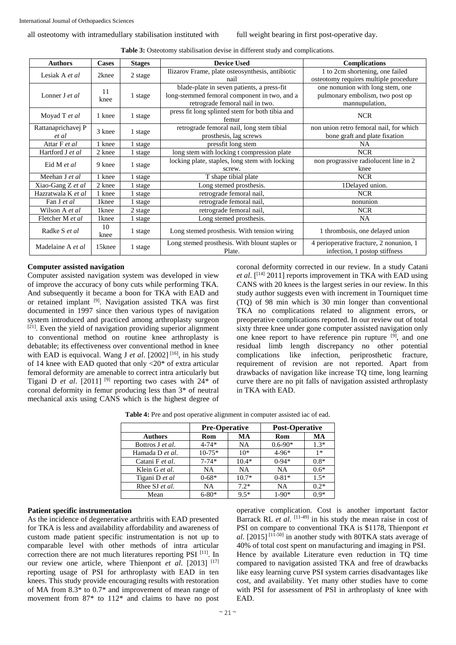| <b>Authors</b>     | <b>Cases</b>      | <b>Stages</b> | <b>Device Used</b>                                                                                                                   | <b>Complications</b>                    |  |
|--------------------|-------------------|---------------|--------------------------------------------------------------------------------------------------------------------------------------|-----------------------------------------|--|
| Lesiak A et al     | 2knee             | 2 stage       | Ilizarov Frame, plate osteosynthesis, antibiotic                                                                                     | 1 to 2cm shortening, one failed         |  |
|                    |                   |               | nail                                                                                                                                 | osteotomy requires multiple procedure   |  |
| Lonner J et al.    | 11<br>knee        | 1 stage       | blade-plate in seven patients, a press-fit                                                                                           | one nonunion with long stem, one        |  |
|                    |                   |               | long-stemmed femoral component in two, and a                                                                                         | pulmonary embolism, two post op         |  |
|                    |                   |               | retrograde femoral nail in two.                                                                                                      | mannupulation,                          |  |
| Moyad T et al      | 1 knee            | 1 stage       | press fit long splinted stem for both tibia and                                                                                      | <b>NCR</b>                              |  |
|                    |                   |               | femur                                                                                                                                |                                         |  |
| Rattanaprichavej P | 3 knee            | 1 stage       | retrograde femoral nail, long stem tibial                                                                                            | non union retro femoral nail, for which |  |
| et al              |                   |               | prosthesis, lag screws                                                                                                               | bone graft and plate fixation           |  |
| Attar F et al      | 1 knee            | 1 stage       | pressfit long stem                                                                                                                   | <b>NA</b>                               |  |
| Hartford J et al   | 2 knee            | 1 stage       | long stem with locking t compression plate                                                                                           | <b>NCR</b>                              |  |
| Eid M et al        | 9 knee            | 1 stage       | locking plate, staples, long stem with locking                                                                                       | non prograssive radiolucent line in 2   |  |
|                    |                   |               | screw.                                                                                                                               | knee                                    |  |
| Meehan J et al     | 1 knee            | 1 stage       | T shape tibial plate                                                                                                                 | <b>NCR</b>                              |  |
| Xiao-Gang Z et al  | 2 knee            | 1 stage       | Long stemed prosthesis.                                                                                                              | 1Delayed union.                         |  |
| Hazratwala K et al | 1 knee            | 1 stage       | retrograde femoral nail,                                                                                                             | <b>NCR</b>                              |  |
| Fan J et al        | 1 <sub>knee</sub> | 1 stage       | retrograde femoral nail,                                                                                                             | nonunion                                |  |
| Wilson A et al     | 1 <sub>knee</sub> | 2 stage       | retrograde femoral nail,                                                                                                             | <b>NCR</b>                              |  |
| Fletcher M et al   | 1 <sub>knee</sub> | 1 stage       | Long stemed prosthesis.                                                                                                              | <b>NA</b>                               |  |
| Radke S et al.     | 10<br>knee        | 1 stage       | Long stemed prosthesis. With tension wiring                                                                                          | 1 thrombosis, one delayed union         |  |
| Madelaine A et al  | 15knee            | 1 stage       | Long stemed prosthesis. With blount staples or<br>4 perioperative fracture, 2 nonunion, 1<br>Plate.<br>infection, 1 postop stiffness |                                         |  |

Table 3: Osteotomy stabilisation devise in different study and complications.

## **Computer assisted navigation**

Computer assisted navigation system was developed in view of improve the accuracy of bony cuts while performing TKA. And subsequently it became a boon for TKA with EAD and or retained implant <sup>[9]</sup>. Navigation assisted TKA was first documented in 1997 since then various types of navigation system introduced and practiced among arthroplasty surgeon [21]. Even the yield of navigation providing superior alignment to conventional method on routine knee arthroplasty is debatable; its effectiveness over conventional method in knee with EAD is equivocal. Wang J *et al.* [2002] <sup>[16]</sup>, in his study of 14 knee with EAD quoted that only <20\* of extra articular femoral deformity are amenable to correct intra articularly but Tigani D *et al.* [2011]<sup>[9]</sup> reporting two cases with  $24^*$  of coronal deformity in femur producing less than 3\* of neutral mechanical axis using CANS which is the highest degree of coronal deformity corrected in our review. In a study Catani *et al.* [<sup>[14]</sup> 2011] reports improvement in TKA with EAD using CANS with 20 knees is the largest series in our review. In this study author suggests even with increment in Tourniquet time (TQ) of 98 min which is 30 min longer than conventional TKA no complications related to alignment errors, or preoperative complications reported. In our review out of total sixty three knee under gone computer assisted navigation only one knee report to have reference pin rupture <sup>[9]</sup>, and one residual limb length discrepancy no other potential complications like infection, periprosthetic fracture, requirement of revision are not reported. Apart from drawbacks of navigation like increase TQ time, long learning curve there are no pit falls of navigation assisted arthroplasty in TKA with EAD.

Table 4: Pre and post operative alignment in computer assisted iac of ead.

|                  | <b>Pre-Operative</b> |           | <b>Post-Operative</b> |        |  |
|------------------|----------------------|-----------|-----------------------|--------|--|
| <b>Authors</b>   | Rom                  | MA        | Rom                   | MA     |  |
| Bottros J et al. | $4 - 74*$            | NA        | $0.6 - 90*$           | $1.3*$ |  |
| Hamada D et al.  | $10-75*$             | $10*$     | $4 - 96*$             | $1*$   |  |
| Catani F et al.  | $7 - 74*$            | $10.4*$   | $0-94*$               | $0.8*$ |  |
| Klein G et al.   | NA                   | <b>NA</b> | <b>NA</b>             | $0.6*$ |  |
| Tigani D et al   | $0 - 68*$            | $10.7*$   | $0 - 81*$             | $1.5*$ |  |
| Rhee SJ et al.   | NA                   | $7.2*$    | <b>NA</b>             | $0.2*$ |  |
| Mean             | $6 - 80*$            | $9.5*$    | $1 - 90*$             | $0.9*$ |  |

## **Patient specific instrumentation**

As the incidence of degenerative arthritis with EAD presented for TKA is less and availability affordability and awareness of custom made patient specific instrumentation is not up to comparable level with other methods of intra articular correction there are not much literatures reporting PSI [11]. In our review one article, where Thienpont *et al.* [2013] <sup>[17]</sup> reporting usage of PSI for arthroplasty with EAD in ten knees. This study provide encouraging results with restoration of MA from 8.3\* to 0.7\* and improvement of mean range of movement from 87\* to 112\* and claims to have no post

operative complication. Cost is another important factor Barrack RL *et al.* [11-49] in his study the mean raise in cost of PSI on compare to conventional TKA is \$1178, Thienpont *et al*. [2015] [11-50] in another study with 80TKA stats average of 40% of total cost spent on manufacturing and imaging in PSI. Hence by available Literature even reduction in TQ time compared to navigation assisted TKA and free of drawbacks like easy learning curve PSI system carries disadvantages like cost, and availability. Yet many other studies have to come with PSI for assessment of PSI in arthroplasty of knee with EAD.